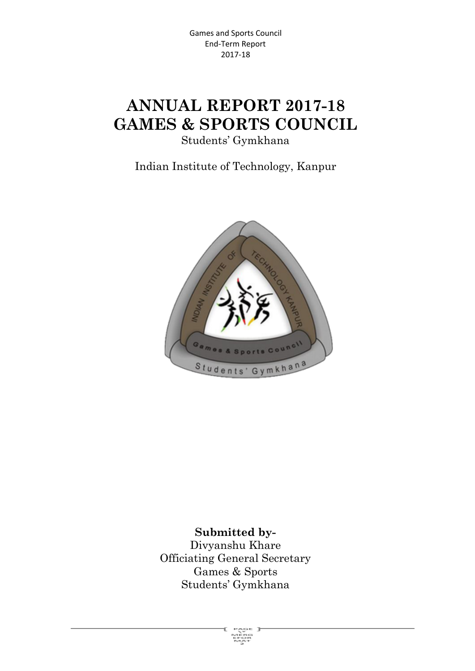# **ANNUAL REPORT 2017-18 GAMES & SPORTS COUNCIL**

Students' Gymkhana

Indian Institute of Technology, Kanpur



**Submitted by-**Divyanshu Khare Officiating General Secretary Games & Sports Students' Gymkhana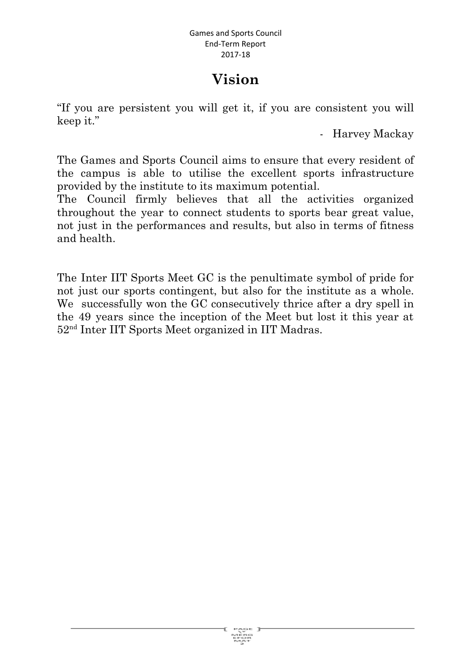# **Vision**

"If you are persistent you will get it, if you are consistent you will keep it."

- Harvey Mackay

The Games and Sports Council aims to ensure that every resident of the campus is able to utilise the excellent sports infrastructure provided by the institute to its maximum potential.

The Council firmly believes that all the activities organized throughout the year to connect students to sports bear great value, not just in the performances and results, but also in terms of fitness and health.

The Inter IIT Sports Meet GC is the penultimate symbol of pride for not just our sports contingent, but also for the institute as a whole. We successfully won the GC consecutively thrice after a dry spell in the 49 years since the inception of the Meet but lost it this year at 52 nd Inter IIT Sports Meet organized in IIT Madras.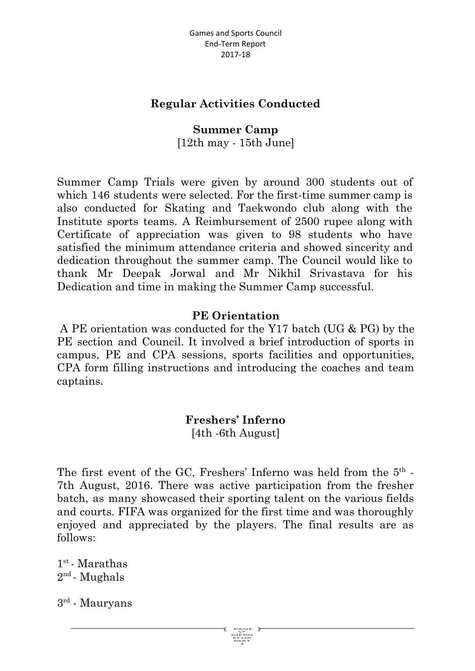#### **Regular Activities Conducted**

**Summer Camp** [12th may - 15th June]

Summer Camp Trials were given by around 300 students out of which 146 students were selected. For the first-time summer camp is also conducted for Skating and Taekwondo club along with the Institute sports teams. A Reimbursement of 2500 rupee along with Certificate of appreciation was given to 98 students who have satisfied the minimum attendance criteria and showed sincerity and dedication throughout the summer camp. The Council would like to thank Mr Deepak Jorwal and Mr Nikhil Srivastava for his Dedication and time in making the Summer Camp successful.

#### **PE Orientation**

A PE orientation was conducted for the Y17 batch (UG & PG) by the PE section and Council. It involved a brief introduction of sports in campus, PE and CPA sessions, sports facilities and opportunities, CPA form filling instructions and introducing the coaches and team captains.

> **Freshers' Inferno** [4th -6th August]

The first event of the GC, Freshers' Inferno was held from the  $5<sup>th</sup>$  -7th August, 2016. There was active participation from the fresher batch, as many showcased their sporting talent on the various fields and courts. FIFA was organized for the first time and was thoroughly enjoyed and appreciated by the players. The final results are as follows:

 $1^{\rm st}$  - Marathas  $2^{\text{nd}}$  - Mughals

 $3^{\text{rd}}$  - Mauryans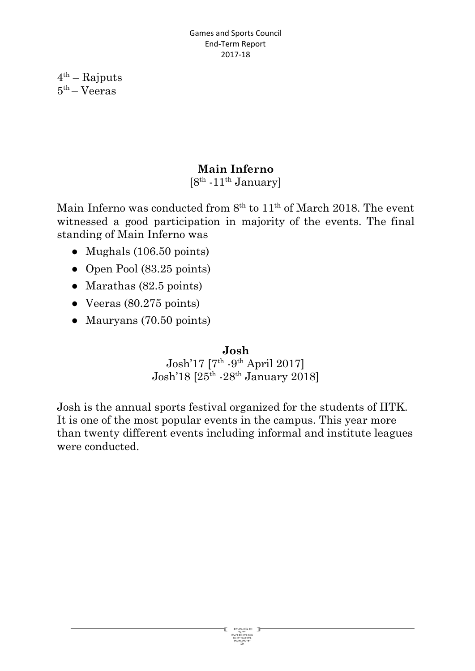$4<sup>th</sup>$  – Rajputs 5 th – Veeras

#### **Main Inferno**

 $[8^{\text{th}} \cdot 11^{\text{th}}$  January]

Main Inferno was conducted from  $8<sup>th</sup>$  to  $11<sup>th</sup>$  of March 2018. The event witnessed a good participation in majority of the events. The final standing of Main Inferno was

- Mughals (106.50 points)
- Open Pool (83.25 points)
- $\bullet$  Marathas (82.5 points)
- $\bullet$  Veeras (80.275 points)
- **●** Mauryans (70.50 points)

#### **Josh**

 $ext{Job}$  17 [7<sup>th</sup> -9<sup>th</sup> April 2017] Josh'18 [25<sup>th</sup> -28<sup>th</sup> January 2018]

Josh is the annual sports festival organized for the students of IITK. It is one of the most popular events in the campus. This year more than twenty different events including informal and institute leagues were conducted.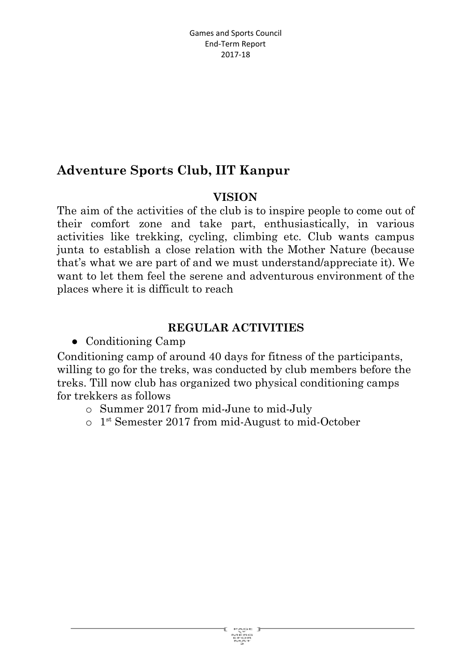# **Adventure Sports Club, IIT Kanpur**

#### **VISION**

The aim of the activities of the club is to inspire people to come out of their comfort zone and take part, enthusiastically, in various activities like trekking, cycling, climbing etc. Club wants campus junta to establish a close relation with the Mother Nature (because that's what we are part of and we must understand/appreciate it). We want to let them feel the serene and adventurous environment of the places where it is difficult to reach

#### **REGULAR ACTIVITIES**

● Conditioning Camp

Conditioning camp of around 40 days for fitness of the participants, willing to go for the treks, was conducted by club members before the treks. Till now club has organized two physical conditioning camps for trekkers as follows

- o Summer 2017 from mid-June to mid-July
- o 1 st Semester 2017 from mid-August to mid-October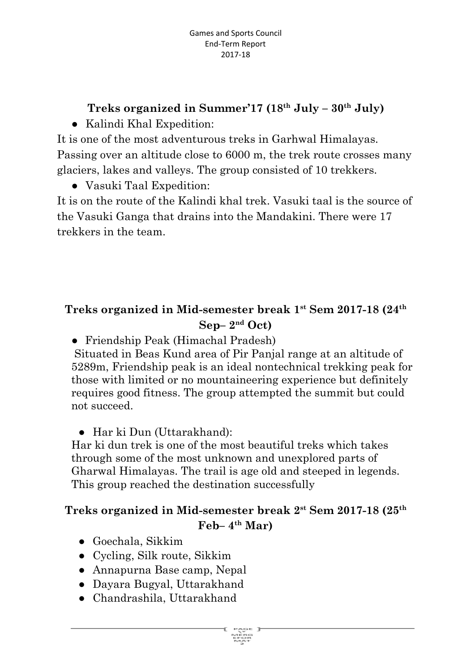# **Treks organized in Summer'17 (18 th July – 30 th July)**

● Kalindi Khal Expedition:

It is one of the most adventurous treks in Garhwal Himalayas. Passing over an altitude close to 6000 m, the trek route crosses many glaciers, lakes and valleys. The group consisted of 10 trekkers.

● Vasuki Taal Expedition:

It is on the route of the Kalindi khal trek. Vasuki taal is the source of the Vasuki Ganga that drains into the Mandakini. There were 17 trekkers in the team.

# **Treks organized in Mid-semester break 1 st Sem 2017-18 (24 th Sep– 2 nd Oct)**

● Friendship Peak (Himachal Pradesh)

Situated in Beas Kund area of Pir Panjal range at an altitude of 5289m, Friendship peak is an ideal nontechnical trekking peak for those with limited or no mountaineering experience but definitely requires good fitness. The group attempted the summit but could not succeed.

● Har ki Dun (Uttarakhand):

Har ki dun trek is one of the most beautiful treks which takes through some of the most unknown and unexplored parts of Gharwal Himalayas. The trail is age old and steeped in legends. This group reached the destination successfully

# **Treks organized in Mid-semester break 2 st Sem 2017-18 (25 th Feb– 4 th Mar)**

- Goechala, Sikkim
- Cycling, Silk route, Sikkim
- Annapurna Base camp, Nepal
- Dayara Bugyal, Uttarakhand
- Chandrashila, Uttarakhand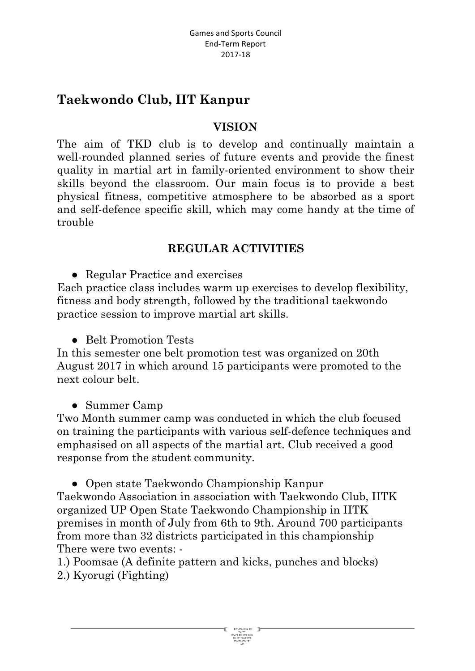# **Taekwondo Club, IIT Kanpur**

#### **VISION**

The aim of TKD club is to develop and continually maintain a well-rounded planned series of future events and provide the finest quality in martial art in family-oriented environment to show their skills beyond the classroom. Our main focus is to provide a best physical fitness, competitive atmosphere to be absorbed as a sport and self-defence specific skill, which may come handy at the time of trouble

#### **REGULAR ACTIVITIES**

● Regular Practice and exercises

Each practice class includes warm up exercises to develop flexibility, fitness and body strength, followed by the traditional taekwondo practice session to improve martial art skills.

● Belt Promotion Tests

In this semester one belt promotion test was organized on 20th August 2017 in which around 15 participants were promoted to the next colour belt.

● Summer Camp

Two Month summer camp was conducted in which the club focused on training the participants with various self-defence techniques and emphasised on all aspects of the martial art. Club received a good response from the student community.

● Open state Taekwondo Championship Kanpur Taekwondo Association in association with Taekwondo Club, IITK organized UP Open State Taekwondo Championship in IITK premises in month of July from 6th to 9th. Around 700 participants from more than 32 districts participated in this championship There were two events: -

1.) Poomsae (A definite pattern and kicks, punches and blocks) 2.) Kyorugi (Fighting)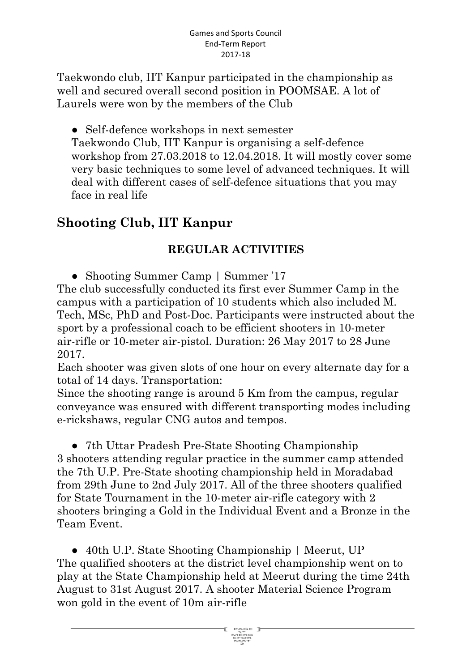Taekwondo club, IIT Kanpur participated in the championship as well and secured overall second position in POOMSAE. A lot of Laurels were won by the members of the Club

• Self-defence workshops in next semester

Taekwondo Club, IIT Kanpur is organising a self-defence workshop from 27.03.2018 to 12.04.2018. It will mostly cover some very basic techniques to some level of advanced techniques. It will deal with different cases of self-defence situations that you may face in real life

# **Shooting Club, IIT Kanpur**

#### **REGULAR ACTIVITIES**

• Shooting Summer Camp | Summer '17

The club successfully conducted its first ever Summer Camp in the campus with a participation of 10 students which also included M. Tech, MSc, PhD and Post-Doc. Participants were instructed about the sport by a professional coach to be efficient shooters in 10-meter air-rifle or 10-meter air-pistol. Duration: 26 May 2017 to 28 June 2017.

Each shooter was given slots of one hour on every alternate day for a total of 14 days. Transportation:

Since the shooting range is around 5 Km from the campus, regular conveyance was ensured with different transporting modes including e-rickshaws, regular CNG autos and tempos.

● 7th Uttar Pradesh Pre-State Shooting Championship 3 shooters attending regular practice in the summer camp attended the 7th U.P. Pre-State shooting championship held in Moradabad from 29th June to 2nd July 2017. All of the three shooters qualified for State Tournament in the 10-meter air-rifle category with 2 shooters bringing a Gold in the Individual Event and a Bronze in the Team Event.

● 40th U.P. State Shooting Championship | Meerut, UP The qualified shooters at the district level championship went on to play at the State Championship held at Meerut during the time 24th August to 31st August 2017. A shooter Material Science Program won gold in the event of 10m air-rifle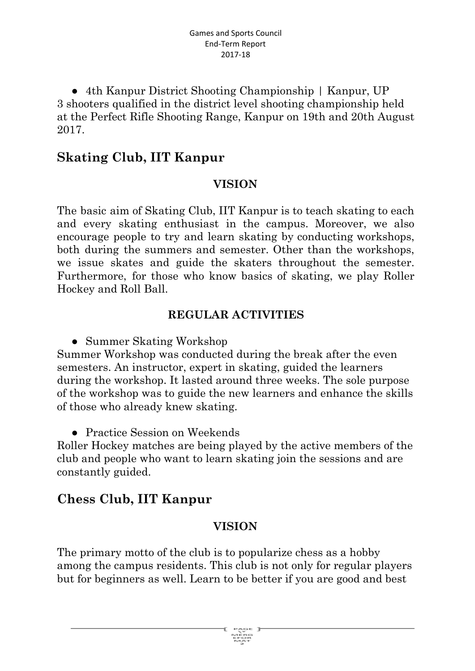• 4th Kanpur District Shooting Championship | Kanpur, UP 3 shooters qualified in the district level shooting championship held at the Perfect Rifle Shooting Range, Kanpur on 19th and 20th August 2017.

## **Skating Club, IIT Kanpur**

#### **VISION**

The basic aim of Skating Club, IIT Kanpur is to teach skating to each and every skating enthusiast in the campus. Moreover, we also encourage people to try and learn skating by conducting workshops, both during the summers and semester. Other than the workshops, we issue skates and guide the skaters throughout the semester. Furthermore, for those who know basics of skating, we play Roller Hockey and Roll Ball.

#### **REGULAR ACTIVITIES**

• Summer Skating Workshop

Summer Workshop was conducted during the break after the even semesters. An instructor, expert in skating, guided the learners during the workshop. It lasted around three weeks. The sole purpose of the workshop was to guide the new learners and enhance the skills of those who already knew skating.

• Practice Session on Weekends

Roller Hockey matches are being played by the active members of the club and people who want to learn skating join the sessions and are constantly guided.

# **Chess Club, IIT Kanpur**

#### **VISION**

The primary motto of the club is to popularize chess as a hobby among the campus residents. This club is not only for regular players but for beginners as well. Learn to be better if you are good and best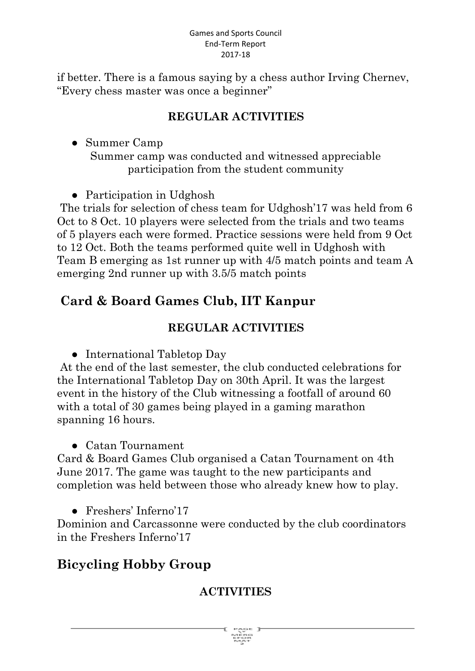if better. There is a famous saying by a chess author Irving Chernev, "Every chess master was once a beginner"

### **REGULAR ACTIVITIES**

● Summer Camp Summer camp was conducted and witnessed appreciable participation from the student community

• Participation in Udghosh

The trials for selection of chess team for Udghosh'17 was held from 6 Oct to 8 Oct. 10 players were selected from the trials and two teams of 5 players each were formed. Practice sessions were held from 9 Oct to 12 Oct. Both the teams performed quite well in Udghosh with Team B emerging as 1st runner up with 4/5 match points and team A emerging 2nd runner up with 3.5/5 match points

# **Card & Board Games Club, IIT Kanpur**

#### **REGULAR ACTIVITIES**

• International Tabletop Day

At the end of the last semester, the club conducted celebrations for the International Tabletop Day on 30th April. It was the largest event in the history of the Club witnessing a footfall of around 60 with a total of 30 games being played in a gaming marathon spanning 16 hours.

● Catan Tournament

Card & Board Games Club organised a Catan Tournament on 4th June 2017. The game was taught to the new participants and completion was held between those who already knew how to play.

● Freshers' Inferno'17

Dominion and Carcassonne were conducted by the club coordinators in the Freshers Inferno'17

# **Bicycling Hobby Group**

# **ACTIVITIES**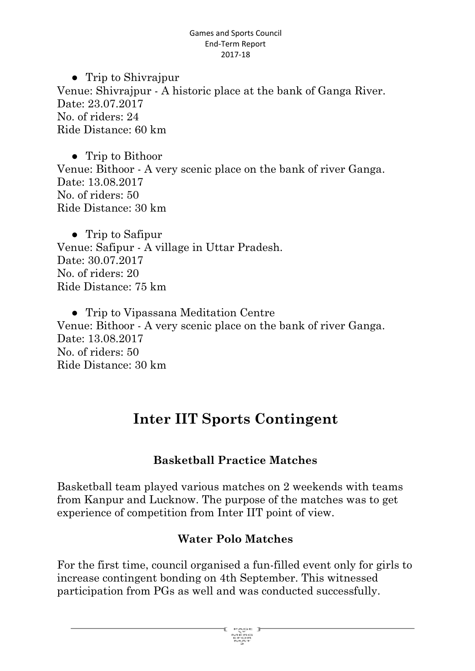● Trip to Shivrajpur Venue: Shivrajpur - A historic place at the bank of Ganga River. Date: 23.07.2017 No. of riders: 24 Ride Distance: 60 km

● Trip to Bithoor Venue: Bithoor - A very scenic place on the bank of river Ganga. Date: 13.08.2017 No. of riders: 50 Ride Distance: 30 km

● Trip to Safipur Venue: Safipur - A village in Uttar Pradesh. Date: 30.07.2017 No. of riders: 20 Ride Distance: 75 km

● Trip to Vipassana Meditation Centre Venue: Bithoor - A very scenic place on the bank of river Ganga. Date: 13.08.2017 No. of riders: 50 Ride Distance: 30 km

# **Inter IIT Sports Contingent**

#### **Basketball Practice Matches**

Basketball team played various matches on 2 weekends with teams from Kanpur and Lucknow. The purpose of the matches was to get experience of competition from Inter IIT point of view.

#### **Water Polo Matches**

For the first time, council organised a fun-filled event only for girls to increase contingent bonding on 4th September. This witnessed participation from PGs as well and was conducted successfully.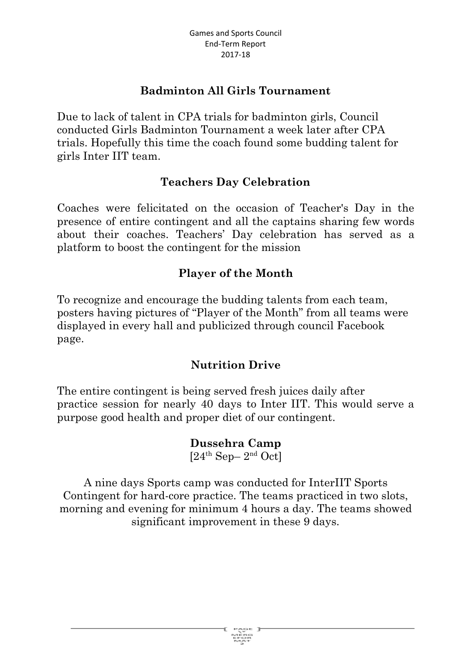#### **Badminton All Girls Tournament**

Due to lack of talent in CPA trials for badminton girls, Council conducted Girls Badminton Tournament a week later after CPA trials. Hopefully this time the coach found some budding talent for girls Inter IIT team.

#### **Teachers Day Celebration**

Coaches were felicitated on the occasion of Teacher's Day in the presence of entire contingent and all the captains sharing few words about their coaches. Teachers' Day celebration has served as a platform to boost the contingent for the mission

#### **Player of the Month**

To recognize and encourage the budding talents from each team, posters having pictures of "Player of the Month" from all teams were displayed in every hall and publicized through council Facebook page.

#### **Nutrition Drive**

The entire contingent is being served fresh juices daily after practice session for nearly 40 days to Inter IIT. This would serve a purpose good health and proper diet of our contingent.

> **Dussehra Camp**  $[24^{\text{th}}$  Sep- $2^{\text{nd}}$  Oct]

A nine days Sports camp was conducted for InterIIT Sports Contingent for hard-core practice. The teams practiced in two slots, morning and evening for minimum 4 hours a day. The teams showed significant improvement in these 9 days.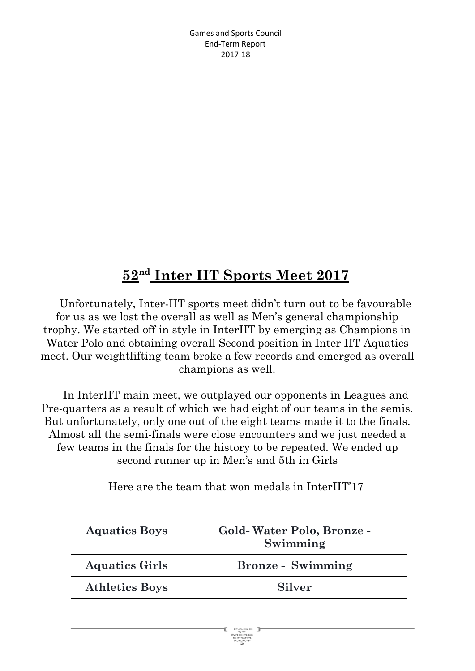# $52<sup>nd</sup>$  **Inter IIT Sports Meet 2017**

Unfortunately, Inter-IIT sports meet didn't turn out to be favourable for us as we lost the overall as well as Men's general championship trophy. We started off in style in InterIIT by emerging as Champions in Water Polo and obtaining overall Second position in Inter IIT Aquatics meet. Our weightlifting team broke a few records and emerged as overall champions as well.

In InterIIT main meet, we outplayed our opponents in Leagues and Pre-quarters as a result of which we had eight of our teams in the semis. But unfortunately, only one out of the eight teams made it to the finals. Almost all the semi-finals were close encounters and we just needed a few teams in the finals for the history to be repeated. We ended up second runner up in Men's and 5th in Girls

Here are the team that won medals in InterIIT'17

| <b>Aquatics Boys</b>  | Gold-Water Polo, Bronze -<br>Swimming |
|-----------------------|---------------------------------------|
| <b>Aquatics Girls</b> | <b>Bronze</b> - Swimming              |
| <b>Athletics Boys</b> | <b>Silver</b>                         |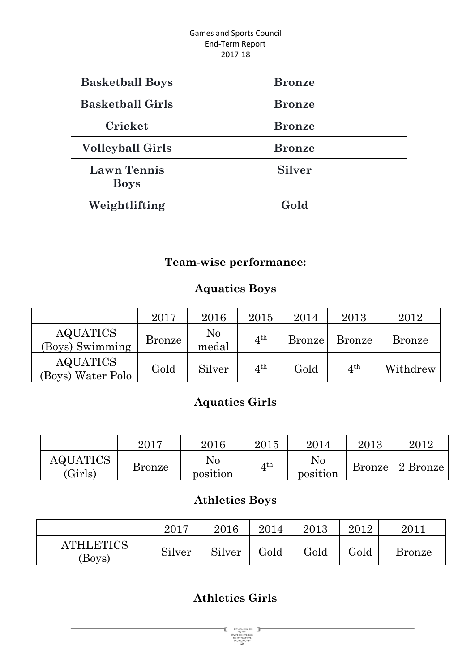| <b>Basketball Boys</b>            | <b>Bronze</b> |
|-----------------------------------|---------------|
| <b>Basketball Girls</b>           | <b>Bronze</b> |
| Cricket                           | <b>Bronze</b> |
| <b>Volleyball Girls</b>           | <b>Bronze</b> |
| <b>Lawn Tennis</b><br><b>Boys</b> | <b>Silver</b> |
| Weightlifting                     | Gold          |

## **Team-wise performance:**

#### **Aquatics Boys**

|                                      | 2017          | 2016              | 2015            | 2014   | 2013            | 2012          |
|--------------------------------------|---------------|-------------------|-----------------|--------|-----------------|---------------|
| <b>AQUATICS</b><br>(Boys) Swimming   | <b>Bronze</b> | $\rm No$<br>medal | $4^{\text{th}}$ | Bronze | <b>Bronze</b>   | <b>Bronze</b> |
| <b>AQUATICS</b><br>(Boys) Water Polo | Gold          | Silver            | $4^{\text{th}}$ | Gold   | $4^{\text{th}}$ | Withdrew      |

## **Aquatics Girls**

|                            | 2017          | 2016           | 2015         | 2014           | 2013 | 2012            |
|----------------------------|---------------|----------------|--------------|----------------|------|-----------------|
| <b>AQUATICS</b><br>(Girls) | <b>Bronze</b> | No<br>position | $4^{\rm th}$ | No<br>position |      | Bronze 2 Bronze |

# **Athletics Boys**

|                            | 2017   | 2016   | 2014 | 2013 | 2012 | $2011\,$      |
|----------------------------|--------|--------|------|------|------|---------------|
| <b>ATHLETICS</b><br>(Boys) | Silver | Silver | Gold | Gold | Gold | <b>Bronze</b> |

# **Athletics Girls**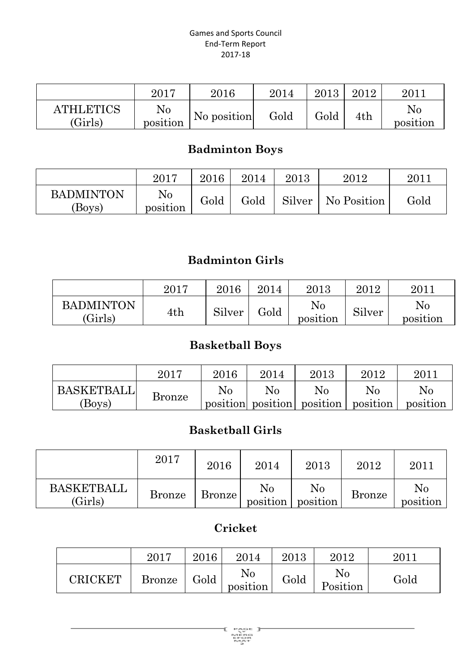|                             | 2017                 | 2016        | 2014 | 2013 | 2012 | 2011           |
|-----------------------------|----------------------|-------------|------|------|------|----------------|
| <b>ATHLETICS</b><br>(Girls) | $\rm No$<br>position | No position | Gold | Gold | 4th  | No<br>position |

## **Badminton Boys**

|                           | 2017                       | 2016 | 2014 | 2013 | $2012\,$             | 201. |
|---------------------------|----------------------------|------|------|------|----------------------|------|
| <b>BADMINTON</b><br>Boys) | N <sub>0</sub><br>position | Gold | Gold |      | Silver   No Position | Gold |

## **Badminton Girls**

|                             | 2017        | 2016   | 2014 | 2013           | 2012   | $2011\,$             |
|-----------------------------|-------------|--------|------|----------------|--------|----------------------|
| <b>BADMINTON</b><br>(Girls) | $4{\rm th}$ | Silver | Gold | No<br>position | Silver | $\rm No$<br>position |

# **Basketball Boys**

|                   | 2017          | 2016     | 2014 | 2013 | 2012 | $201^{\circ}$                                |
|-------------------|---------------|----------|------|------|------|----------------------------------------------|
| <b>BASKETBALL</b> |               | $\rm No$ | No   | No   | No   | No                                           |
| (Boys)            | <b>Bronze</b> |          |      |      |      | position position position position position |

#### **Basketball Girls**

|                       | 2017          | 2016   | 2014                 | 2013           | 2012          | 2011                 |
|-----------------------|---------------|--------|----------------------|----------------|---------------|----------------------|
| BASKETBALL<br>(Girls) | <b>Bronze</b> | Bronze | $\rm No$<br>position | No<br>position | <b>Bronze</b> | $\rm No$<br>position |

#### **Cricket**

|                             | 2017          | 2016 | 2014           | 2013 | 2012                 | $201^{\circ}$ |
|-----------------------------|---------------|------|----------------|------|----------------------|---------------|
| $\mathbb C \mathrm{RICKET}$ | <b>Bronze</b> | Gold | No<br>position | Gold | $\rm No$<br>Position | Gold          |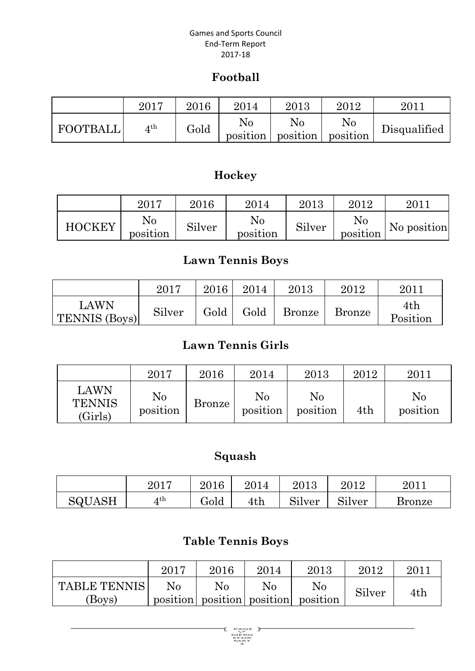#### **Football**

|          | 2017 | 2016 | 2014 | 2013                                 | 2012     | 201          |
|----------|------|------|------|--------------------------------------|----------|--------------|
| FOOTBALL | 4 th | Gold | No   | No<br>position   position   position | $\rm No$ | Disqualified |

# **Hockey**

|               | 2017                 | $2016\,$ | 2014                 | 2013   | 2012           | 2011        |
|---------------|----------------------|----------|----------------------|--------|----------------|-------------|
| <b>HOCKEY</b> | $\rm No$<br>position | Silver   | $\rm No$<br>position | Silver | No<br>position | No position |

#### **Lawn Tennis Boys**

|                              | 2017   | 2016 | 2014 | 2013          | 2012          | $2011\,$        |
|------------------------------|--------|------|------|---------------|---------------|-----------------|
| LAWN<br><b>TENNIS (Boys)</b> | Silver | Gold | Gold | <b>Bronze</b> | <b>Bronze</b> | 4th<br>Position |

#### **Lawn Tennis Girls**

|                                  | 2017                 | 2016          | 2014           | 2013           | 2012 | 2011           |
|----------------------------------|----------------------|---------------|----------------|----------------|------|----------------|
| LAWN<br><b>TENNIS</b><br>(Girls) | $\rm No$<br>position | <b>Bronze</b> | No<br>position | No<br>position | 4th  | No<br>position |

#### **Squash**

|               | 2017 | $2016\,$ | 2014 | 2013   | $2012\,$                | 2011   |
|---------------|------|----------|------|--------|-------------------------|--------|
| <b>SQUASH</b> | 4 th | Gold     | 4th  | Silver | <b>OI</b> . 1<br>Silver | Bronze |

#### **Table Tennis Boys**

|                     | 2017 | 2016 | 2014           | 2013                                | 2012   | 2011 |  |
|---------------------|------|------|----------------|-------------------------------------|--------|------|--|
| <b>TABLE TENNIS</b> | No   | No   | N <sub>0</sub> | N <sub>0</sub>                      | Silver | 4th  |  |
| (Boys)              |      |      |                | position position position position |        |      |  |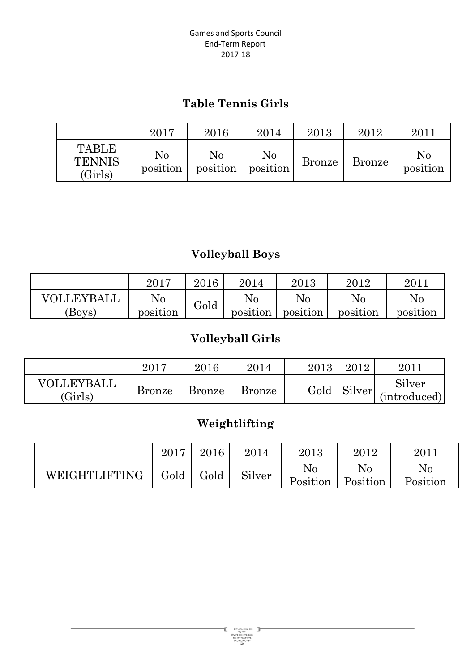#### **Table Tennis Girls**

|                                          | 2017                 | 2016                 | 2014                 | 2013          | 2012   | 2011           |
|------------------------------------------|----------------------|----------------------|----------------------|---------------|--------|----------------|
| <b>TABLE</b><br><b>TENNIS</b><br>(Girls) | $\rm No$<br>position | $\rm No$<br>position | $\rm No$<br>position | <b>Bronze</b> | Bronze | No<br>position |

## **Volleyball Boys**

|            | 2017     | 2016 | 2014     | 2013     | 2012     | $201$ .  |
|------------|----------|------|----------|----------|----------|----------|
| VOLLEYBALL | $\rm No$ |      | No       | No       | No       | No       |
| (Boys)     | position | Gold | position | position | position | position |

# **Volleyball Girls**

|                             | 2017          | 2016   | 2014          | 2013 | 2012          | 2011                   |
|-----------------------------|---------------|--------|---------------|------|---------------|------------------------|
| VOLLEYBALL<br>$\rm (Girls)$ | <b>Bronze</b> | Bronze | <b>Bronze</b> |      | Gold   Silver | Silver<br>(introduced) |

# **Weightlifting**

|               | 2017 | 2016 | 2014   | 2013                 | 2012           | $2011\,$       |
|---------------|------|------|--------|----------------------|----------------|----------------|
| WEIGHTLIFTING | Gold | Gold | Silver | $\rm No$<br>Position | No<br>Position | No<br>Position |